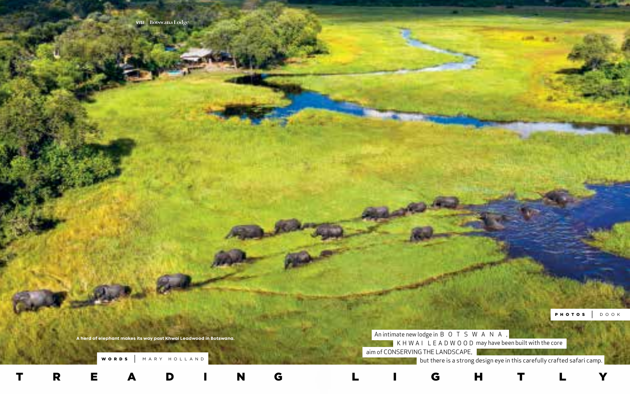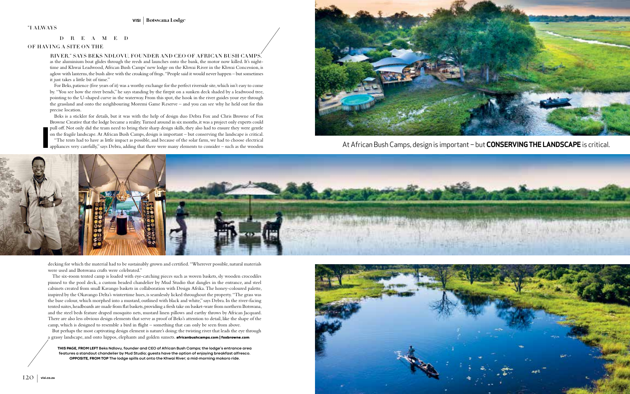**THIS PAGE, FROM LEFT Beks Ndlovu, founder and CEO of African Bush Camps; the lodge's entrance area features a standout chandelier by Mud Studio; guests have the option of enjoying breakfast alfresco. OPPOSITE, FROM TOP The lodge spills out onto the Khwai River; a mid-morning mokoro ride.**



decking for which the material had to be sustainably grown and certified. "Wherever possible, natural materials were used and Botswana crafts were celebrated."

But perhaps the most captivating design element is nature's doing: the twisting river that leads the eye through a grassy landscape, and onto hippos, elephants and golden sunsets. **africanbushcamps.com | foxbrowne.com** 

The six-room tented camp is loaded with eye-catching pieces such as woven baskets, sly wooden crocodiles pinned to the pool deck, a custom beaded chandelier by Mud Studio that dangles in the entrance, and steel cabinets created from small Kavango baskets in collaboration with Design Afrika. The honey-coloured palette, inspired by the Okavango Delta's wintertime hues, is seamlessly licked throughout the property. "The grass was the base colour, which morphed into a mustard, outlined with black and white," says Debra. In the river-facing tented suites, headboards are made from flat baskets, providing a fresh take on basket-ware from northern Botswana, and the steel beds feature draped mosquito nets, mustard linen pillows and earthy throws by African Jacquard. There are also less obvious design elements that serve as proof of Beks's attention to detail, like the shape of the camp, which is designed to resemble a bird in flight – something that can only be seen from above.



At African Bush Camps, design is important – but **CONSERVING THE LANDSCAPE** is critical.



as the aluminium boat glides through the reeds and launches onto the bank, the motor now killed. It's nighttime and Khwai Leadwood, African Bush Camps' new lodge on the Khwai River in the Khwai Concession, is aglow with lanterns, the bush alive with the croaking of frogs. "People said it would never happen – but sometimes it just takes a little bit of time."

For Beks, patience (five years of it) was a worthy exchange for the perfect riverside site, which isn't easy to come by. "You see how the river bends," he says standing by the firepit on a sunken deck shaded by a leadwood tree, pointing to the U-shaped curve in the waterway. From this spot, the hook in the river guides your eye through the grassland and onto the neighbouring Moremi Game Reserve – and you can see why he held out for this precise location.

Beks is a stickler for details, but it was with the help of design duo Debra Fox and Chris Browne of Fox Browne Creative that the lodge became a reality. Turned around in six months, it was a project only experts could pull off. Not only did the team need to bring their sharp design skills, they also had to ensure they were gentle on the fragile landscape. At African Bush Camps, design is important – but conserving the landscape is critical. "The tents had to have as little impact as possible, and because of the solar farm, we had to choose electrical appliances very carefully," says Debra, adding that there were many elements to consider – such as the wooden

## RIVER," SAYS BEKS NDLOVU, FOUNDER AND CEO OF AFRICAN BUSH CAMPS,

## D R E A M E D

## OF HAVING A SITE ON THE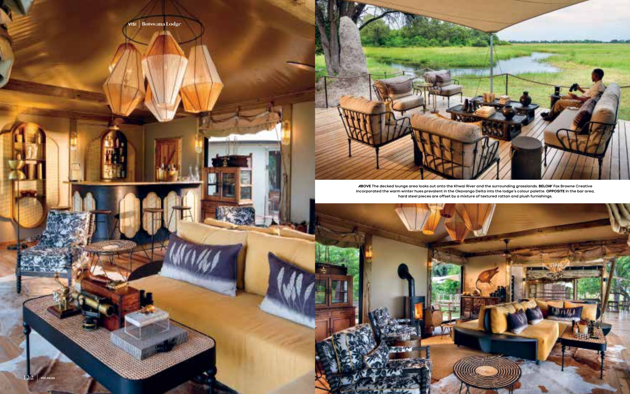

**ABOVE The decked lounge area looks out onto the Khwai River and the surrounding grasslands. BELOW Fox Browne Creative incorporated the warm winter hues prevalent in the Okavango Delta into the lodge's colour palette. OPPOSITE In the bar area, hard steel pieces are offset by a mixture of textured rattan and plush furnishings.**

**VISI** | Botswana Lodge

幟

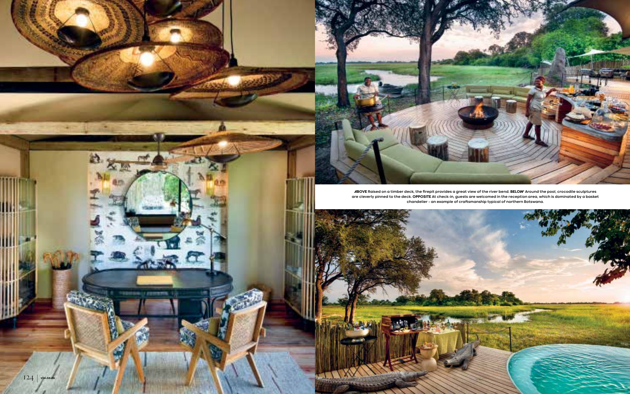



40

赵



**ABOVE Raised on a timber deck, the firepit provides a great view of the river bend. BELOW Around the pool, crocodile sculptures are cleverly pinned to the deck. OPPOSITE At check-in, guests are welcomed in the reception area, which is dominated by a basket chandelier – an example of craftsmanship typical of northern Botswana.**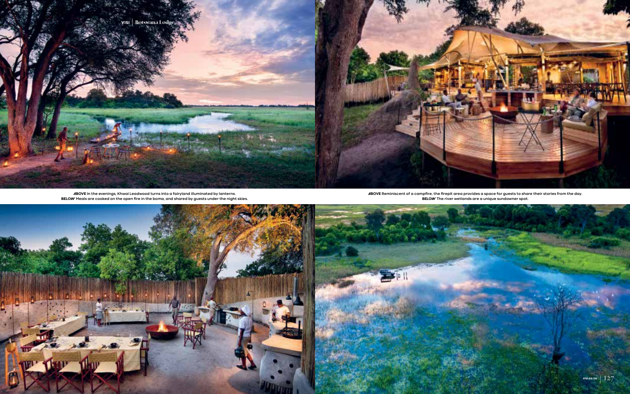**ABOVE Reminiscent of a campfire, the firepit area provides a space for guests to share their stories from the day. BELOW The river wetlands are a unique sundowner spot.** 



**ABOVE In the evenings, Khwai Leadwood turns into a fairyland illuminated by lanterns. BELOW Meals are cooked on the open fire in the boma, and shared by guests under the night skies.**